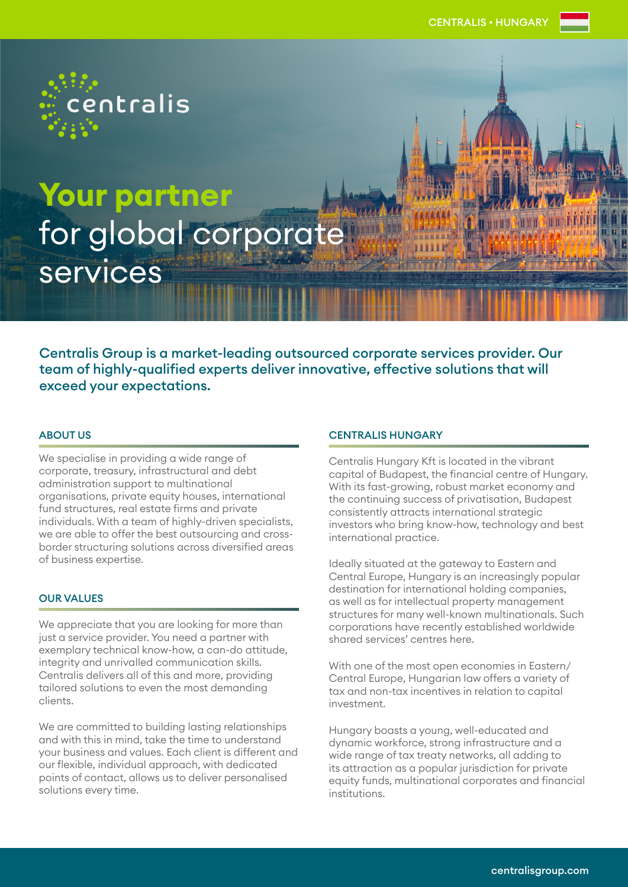

**Your partner**  for global corporate services

Centralis Group is a market-leading outsourced corporate services provider. Our team of highly-qualified experts deliver innovative, effective solutions that will exceed your expectations.

# ABOUT US

We specialise in providing a wide range of corporate, treasury, infrastructural and debt administration support to multinational organisations, private equity houses, international fund structures, real estate firms and private individuals. With a team of highly-driven specialists, we are able to offer the best outsourcing and crossborder structuring solutions across diversified areas of business expertise.

# OUR VALUES

We appreciate that you are looking for more than just a service provider. You need a partner with exemplary technical know-how, a can-do attitude, integrity and unrivalled communication skills. Centralis delivers all of this and more, providing tailored solutions to even the most demanding clients.

We are committed to building lasting relationships and with this in mind, take the time to understand your business and values. Each client is different and our flexible, individual approach, with dedicated points of contact, allows us to deliver personalised solutions every time.

### CENTRALIS HUNGARY

Centralis Hungary Kft is located in the vibrant capital of Budapest, the financial centre of Hungary. With its fast-growing, robust market economy and the continuing success of privatisation, Budapest consistently attracts international strategic investors who bring know-how, technology and best international practice.

Ideally situated at the gateway to Eastern and Central Europe, Hungary is an increasingly popular destination for international holding companies, as well as for intellectual property management structures for many well-known multinationals. Such corporations have recently established worldwide shared services' centres here.

With one of the most open economies in Eastern/ Central Europe, Hungarian law offers a variety of tax and non-tax incentives in relation to capital investment.

Hungary boasts a young, well-educated and dynamic workforce, strong infrastructure and a wide range of tax treaty networks, all adding to its attraction as a popular jurisdiction for private equity funds, multinational corporates and financial institutions.